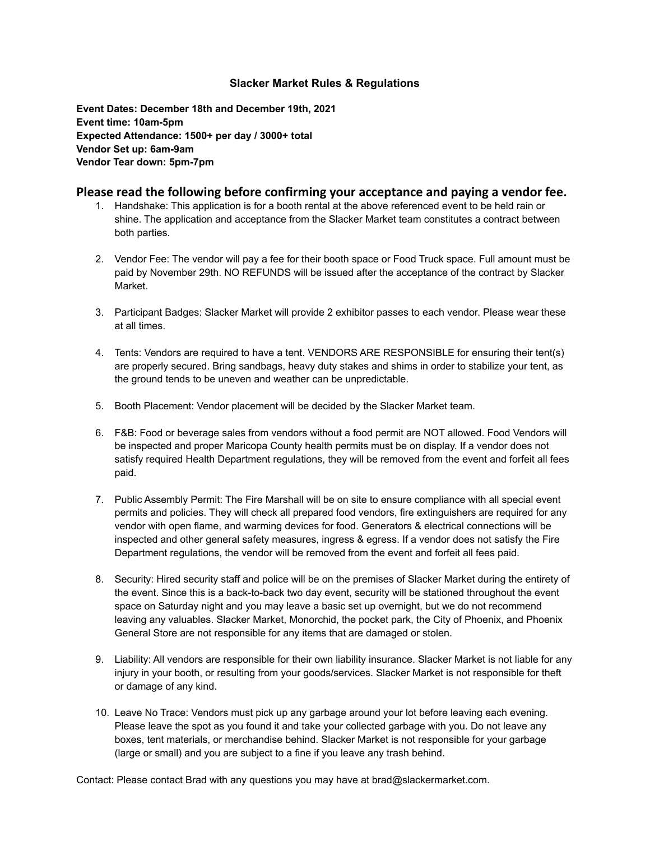## **Slacker Market Rules & Regulations**

**Event Dates: December 18th and December 19th, 2021 Event time: 10am-5pm Expected Attendance: 1500+ per day / 3000+ total Vendor Set up: 6am-9am Vendor Tear down: 5pm-7pm**

## **Please read the following before confirming your acceptance and paying a vendor fee.**

- 1. Handshake: This application is for a booth rental at the above referenced event to be held rain or shine. The application and acceptance from the Slacker Market team constitutes a contract between both parties.
- 2. Vendor Fee: The vendor will pay a fee for their booth space or Food Truck space. Full amount must be paid by November 29th. NO REFUNDS will be issued after the acceptance of the contract by Slacker Market.
- 3. Participant Badges: Slacker Market will provide 2 exhibitor passes to each vendor. Please wear these at all times.
- 4. Tents: Vendors are required to have a tent. VENDORS ARE RESPONSIBLE for ensuring their tent(s) are properly secured. Bring sandbags, heavy duty stakes and shims in order to stabilize your tent, as the ground tends to be uneven and weather can be unpredictable.
- 5. Booth Placement: Vendor placement will be decided by the Slacker Market team.
- 6. F&B: Food or beverage sales from vendors without a food permit are NOT allowed. Food Vendors will be inspected and proper Maricopa County health permits must be on display. If a vendor does not satisfy required Health Department regulations, they will be removed from the event and forfeit all fees paid.
- 7. Public Assembly Permit: The Fire Marshall will be on site to ensure compliance with all special event permits and policies. They will check all prepared food vendors, fire extinguishers are required for any vendor with open flame, and warming devices for food. Generators & electrical connections will be inspected and other general safety measures, ingress & egress. If a vendor does not satisfy the Fire Department regulations, the vendor will be removed from the event and forfeit all fees paid.
- 8. Security: Hired security staff and police will be on the premises of Slacker Market during the entirety of the event. Since this is a back-to-back two day event, security will be stationed throughout the event space on Saturday night and you may leave a basic set up overnight, but we do not recommend leaving any valuables. Slacker Market, Monorchid, the pocket park, the City of Phoenix, and Phoenix General Store are not responsible for any items that are damaged or stolen.
- 9. Liability: All vendors are responsible for their own liability insurance. Slacker Market is not liable for any injury in your booth, or resulting from your goods/services. Slacker Market is not responsible for theft or damage of any kind.
- 10. Leave No Trace: Vendors must pick up any garbage around your lot before leaving each evening. Please leave the spot as you found it and take your collected garbage with you. Do not leave any boxes, tent materials, or merchandise behind. Slacker Market is not responsible for your garbage (large or small) and you are subject to a fine if you leave any trash behind.

Contact: Please contact Brad with any questions you may have at [brad@slackermarket.com.](mailto:brad@slackermarket.com)